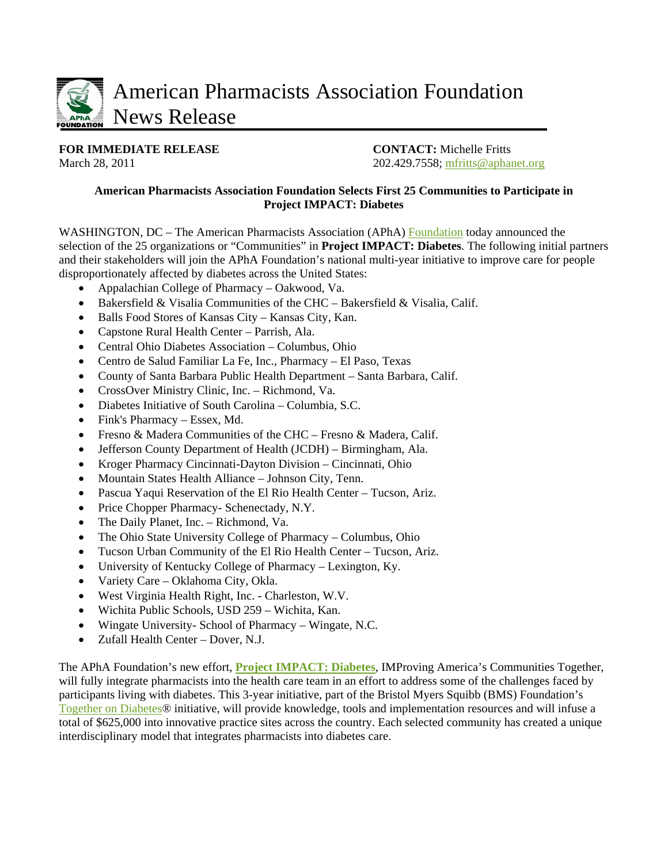

**FOR IMMEDIATE RELEASE CONTACT:** Michelle Fritts

March 28, 2011 202.429.7558; [mfritts@aphanet.org](mailto:mfritts@aphanet.org)

## **American Pharmacists Association Foundation Selects First 25 Communities to Participate in Project IMPACT: Diabetes**

WASHINGTON, DC – The American Pharmacists Association (APhA) [Foundation](http://www.aphafoundation.com/) today announced the selection of the 25 organizations or "Communities" in **Project IMPACT: Diabetes**. The following initial partners and their stakeholders will join the APhA Foundation's national multi-year initiative to improve care for people disproportionately affected by diabetes across the United States:

- Appalachian College of Pharmacy Oakwood, Va.
- Bakersfield & Visalia Communities of the CHC Bakersfield & Visalia, Calif.
- Balls Food Stores of Kansas City Kansas City, Kan.
- Capstone Rural Health Center Parrish, Ala.
- Central Ohio Diabetes Association Columbus, Ohio
- Centro de Salud Familiar La Fe, Inc., Pharmacy El Paso, Texas
- County of Santa Barbara Public Health Department Santa Barbara, Calif.
- CrossOver Ministry Clinic, Inc. Richmond, Va.
- Diabetes Initiative of South Carolina Columbia, S.C.
- Fink's Pharmacy Essex, Md.
- Fresno & Madera Communities of the CHC Fresno & Madera, Calif.
- Jefferson County Department of Health (JCDH) Birmingham, Ala.
- Kroger Pharmacy Cincinnati-Dayton Division Cincinnati, Ohio
- Mountain States Health Alliance Johnson City, Tenn.
- Pascua Yaqui Reservation of the El Rio Health Center Tucson, Ariz.
- Price Chopper Pharmacy- Schenectady, N.Y.
- The Daily Planet, Inc. Richmond, Va.
- The Ohio State University College of Pharmacy Columbus, Ohio
- Tucson Urban Community of the El Rio Health Center Tucson, Ariz.
- University of Kentucky College of Pharmacy Lexington, Ky.
- Variety Care Oklahoma City, Okla.
- West Virginia Health Right, Inc. Charleston, W.V.
- Wichita Public Schools, USD 259 Wichita, Kan.
- Wingate University- School of Pharmacy Wingate, N.C.
- Zufall Health Center Dover, N.J.

The APhA Foundation's new effort, **[Project IMPACT: Diabetes](http://www.pharmacist.com/AM/Template.cfm?Section=Project_IMPACT_Diabetes&Template=/CM/HTMLDisplay.cfm&ContentID=25390)**, IMProving America's Communities Together, will fully integrate pharmacists into the health care team in an effort to address some of the challenges faced by participants living with diabetes. This 3-year initiative, part of the Bristol Myers Squibb (BMS) Foundation's [Together on Diabetes®](http://www.bms.com/togetherondiabetes/pages/home.aspx) initiative, will provide knowledge, tools and implementation resources and will infuse a total of \$625,000 into innovative practice sites across the country. Each selected community has created a unique interdisciplinary model that integrates pharmacists into diabetes care.